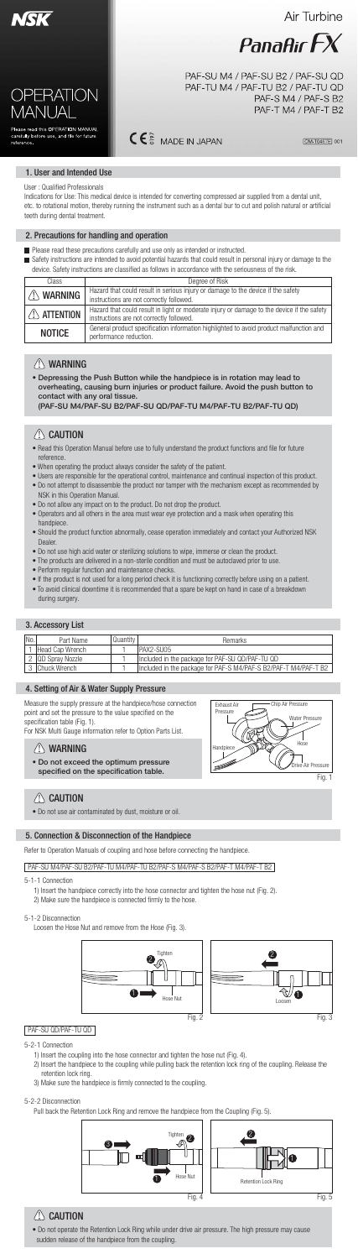

Air Turbine



PAF-SU M4 / PAF-SU B2 / PAF-SU QD PAF-TU M4 / PAF-TU B2 / PAF-TU QD PAF-S M4 / PAF-S B2 PAF-T M4 / PAF-T B2

Please read this OPERATION MANUAL<br>carefully before use, and file for future reference.

**OPERATION** 

MANUA

# $C \in \frac{6}{5}$  MADE IN JAPAN

OM-T0457E 001



# Fig. 1

# $\triangle$  CAUTION



## 1. User and Intended Use

User : Qualified Professionals

Indications for Use: This medical device is intended for converting compressed air supplied from a dental unit, etc. to rotational motion, thereby running the instrument such as a dental bur to cut and polish natural or artificial teeth during dental treatment.

Safety instructions are intended to avoid potential hazards that could result in personal injury or damage to the device. Safety instructions are classified as follows in accordance with the seriousness of the risk.

### 2. Precautions for handling and operation

**Please read these precautions carefully and use only as intended or instructed.** 

| Class                 | Degree of Risk                                                                                                                         |  |  |  |
|-----------------------|----------------------------------------------------------------------------------------------------------------------------------------|--|--|--|
| <b>WARNING</b>        | Hazard that could result in serious injury or damage to the device if the safety<br>instructions are not correctly followed.           |  |  |  |
| $\triangle$ ATTENTION | Hazard that could result in light or moderate injury or damage to the device if the safety<br>instructions are not correctly followed. |  |  |  |
| <b>NOTICE</b>         | General product specification information highlighted to avoid product malfunction and<br>performance reduction.                       |  |  |  |

- Read this Operation Manual before use to fully understand the product functions and file for future reference.
- When operating the product always consider the safety of the patient.
- Users are responsible for the operational control, maintenance and continual inspection of this product.
- Do not attempt to disassemble the product nor tamper with the mechanism except as recommended by NSK in this Operation Manual.
- Do not allow any impact on to the product. Do not drop the product.
- Operators and all others in the area must wear eye protection and a mask when operating this handpiece.
- Should the product function abnormally, cease operation immediately and contact your Authorized NSK Dealer.
- Do not use high acid water or sterilizing solutions to wipe, immerse or clean the product.
- The products are delivered in a non-sterile condition and must be autoclaved prior to use.
- Perform regular function and maintenance checks.
- If the product is not used for a long period check it is functioning correctly before using on a patient.
- To avoid clinical downtime it is recommended that a spare be kept on hand in case of a breakdown during surgery.



# $\langle \rangle$  Caution

# WARNING

• Depressing the Push Button while the handpiece is in rotation may lead to overheating, causing burn injuries or product failure. Avoid the push button to contact with any oral tissue. (PAF-SU M4/PAF-SU B2/PAF-SU QD/PAF-TU M4/PAF-TU B2/PAF-TU QD)

# $\left(\right)$  Caution

## 4. Setting of Air & Water Supply Pressure

Measure the supply pressure at the handpiece/hose connection point and set the pressure to the value specified on the specification table (Fig. 1).

For NSK Multi Gauge information refer to Option Parts List.

## 3. Accessory List

# WARNING

## • Do not exceed the optimum pressure

specified on the specification table.

• Do not use air contaminated by dust, moisture or oil.

## 5. Connection & Disconnection of the Handpiece

Refer to Operation Manuals of coupling and hose before connecting the handpiece.

- 5-1-1 Connection
	- 1) Insert the handpiece correctly into the hose connector and tighten the hose nut (Fig. 2).
	- 2) Make sure the handpiece is connected firmly to the hose.

#### 5-1-2 Disconnection

Loosen the Hose Nut and remove from the Hose (Fig. 3).

- 5-2-1 Connection
	- 1) Insert the coupling into the hose connector and tighten the hose nut (Fig. 4).
	- 2) Insert the handpiece to the coupling while pulling back the retention lock ring of the coupling. Release the retention lock ring.
	- 3) Make sure the handpiece is firmly connected to the coupling.

### 5-2-2 Disconnection

Pull back the Retention Lock Ring and remove the handpiece from the Coupling (Fig. 5).

### PAF-SU M4/PAF-SU B2/PAF-TU M4/PAF-TU B2/PAF-S M4/PAF-S B2/PAF-T M4/PAF-T B2

## PAF-SU QD/PAF-TU QD

• Do not operate the Retention Lock Ring while under drive air pressure. The high pressure may cause sudden release of the handpiece from the coupling.

| IN <sub>O</sub> . | Part Name        | Quantitv | Remarks                                                         |
|-------------------|------------------|----------|-----------------------------------------------------------------|
|                   | Head Cap Wrench  |          | IPAX2-SU05                                                      |
|                   | IQD Spray Nozzle |          | Included in the package for PAF-SU QD/PAF-TU QD                 |
|                   | 3 Chuck Wrench   |          | Included in the package for PAF-S M4/PAF-S B2/PAF-T M4/PAF-T B2 |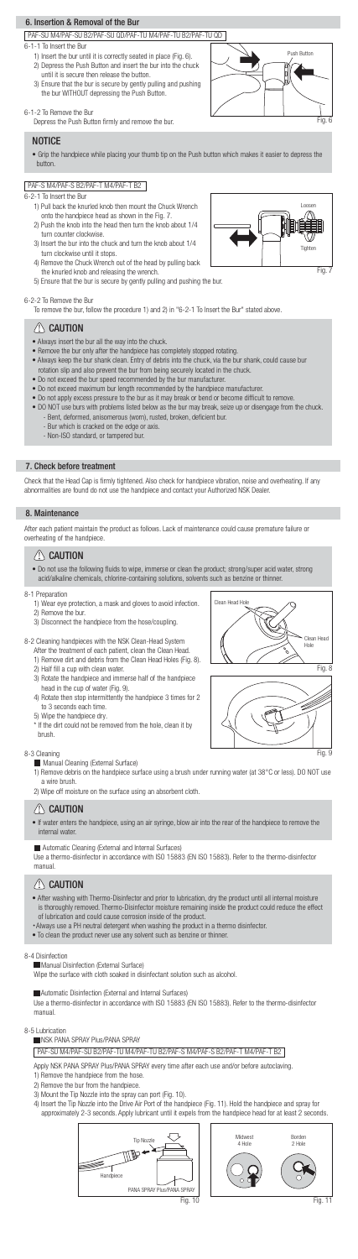











### PAF-SU M4/PAF-SU B2/PAF-SU QD/PAF-TU M4/PAF-TU B2/PAF-TU QD

## 6. Insertion & Removal of the Bur

#### 6-1-1 To Insert the Bur

- 1) Insert the bur until it is correctly seated in place (Fig. 6). 2) Depress the Push Button and insert the bur into the chuck until it is secure then release the button.
- 3) Ensure that the bur is secure by gently pulling and pushing the bur WITHOUT depressing the Push Button.

### 6-1-2 To Remove the Bur

Depress the Push Button firmly and remove the bur.

### **NOTICE**

### PAF-S M4/PAF-S B2/PAF-T M4/PAF-T B2

6-2-1 To Insert the Bur

- 1) Pull back the knurled knob then mount the Chuck Wrench onto the handpiece head as shown in the Fig. 7.
- 2) Push the knob into the head then turn the knob about 1/4 turn counter clockwise.
- 3) Insert the bur into the chuck and turn the knob about 1/4 turn clockwise until it stops.
- 4) Remove the Chuck Wrench out of the head by pulling back the knurled knob and releasing the wrench.
- 5) Ensure that the bur is secure by gently pulling and pushing the bur.

6-2-2 To Remove the Bur

Check that the Head Cap is firmly tightened. Also check for handpiece vibration, noise and overheating. If any abnormalities are found do not use the handpiece and contact your Authorized NSK Dealer.

To remove the bur, follow the procedure 1) and 2) in "6-2-1 To Insert the Bur" stated above.

# $\langle \rangle$  Caution

### 7. Check before treatment

• Grip the handpiece while placing your thumb tip on the Push button which makes it easier to depress the button.

- Always insert the bur all the way into the chuck.
- Remove the bur only after the handpiece has completely stopped rotating.
- Always keep the bur shank clean. Entry of debris into the chuck, via the bur shank, could cause bur rotation slip and also prevent the bur from being securely located in the chuck.
- Do not exceed the bur speed recommended by the bur manufacturer.
- Do not exceed maximum bur length recommended by the handpiece manufacturer.
- Do not apply excess pressure to the bur as it may break or bend or become difficult to remove.
- DO NOT use burs with problems listed below as the bur may break, seize up or disengage from the chuck.
	- Bent, deformed, anisomerous (worn), rusted, broken, deficient bur.
	- Bur which is cracked on the edge or axis.
	- Non-ISO standard, or tampered bur.

### 8. Maintenance



- After washing with Thermo-Disinfector and prior to lubrication, dry the product until all internal moisture is thoroughly removed. Thermo-Disinfector moisture remaining inside the product could reduce the effect of lubrication and could cause corrosion inside of the product.
- ・Always use a PH neutral detergent when washing the product in a thermo disinfector.
- To clean the product never use any solvent such as benzine or thinner.

• If water enters the handpiece, using an air syringe, blow air into the rear of the handpiece to remove the internal water.

• Do not use the following fluids to wipe, immerse or clean the product; strong/super acid water, strong acid/alkaline chemicals, chlorine-containing solutions, solvents such as benzine or thinner.

### 8-3 Cleaning

**Manual Cleaning (External Surface)** 

- 1) Wear eye protection, a mask and gloves to avoid infection.
- 2) Remove the bur.
- 3) Disconnect the handpiece from the hose/coupling.
- 8-2 Cleaning handpieces with the NSK Clean-Head System
	- After the treatment of each patient, clean the Clean Head.
	- 1) Remove dirt and debris from the Clean Head Holes (Fig. 8).
	- 2) Half fill a cup with clean water.
	- 3) Rotate the handpiece and immerse half of the handpiece head in the cup of water (Fig. 9).
	- 4) Rotate then stop intermittently the handpiece 3 times for 2 to 3 seconds each time.
	- 5) Wipe the handpiece dry.
	- \* If the dirt could not be removed from the hole, clean it by brush.

- 1) Remove debris on the handpiece surface using a brush under running water (at 38°C or less). DO NOT use a wire brush.
- 2) Wipe off moisture on the surface using an absorbent cloth.

# $\sqrt{N}$  CAUTION

8-4 Disinfection

**Manual Disinfection (External Surface)** 

Wipe the surface with cloth soaked in disinfectant solution such as alcohol.

Automatic Disinfection (External and Internal Surfaces)

Use a thermo-disinfector in accordance with ISO 15883 (EN ISO 15883). Refer to the thermo-disinfector manual.

Automatic Cleaning (External and Internal Surfaces)

Use a thermo-disinfector in accordance with ISO 15883 (EN ISO 15883). Refer to the thermo-disinfector manual.

# $\langle \mathsf{I} \rangle$  CAUTION

After each patient maintain the product as follows. Lack of maintenance could cause premature failure or overheating of the handpiece.

## $\langle \rangle$  Caution

#### 8-1 Preparation

8-5 Lubrication

NSK PANA SPRAY Plus/PANA SPRAY

Apply NSK PANA SPRAY Plus/PANA SPRAY every time after each use and/or before autoclaving.

- 1) Remove the handpiece from the hose.
- 2) Remove the bur from the handpiece.
- 3) Mount the Tip Nozzle into the spray can port (Fig. 10).
- 4) Insert the Tip Nozzle into the Drive Air Port of the handpiece (Fig. 11). Hold the handpiece and spray for approximately 2-3 seconds. Apply lubricant until it expels from the handpiece head for at least 2 seconds.

## PAF-SU M4/PAF-SU B2/PAF-TU M4/PAF-TU B2/PAF-S M4/PAF-S B2/PAF-T M4/PAF-T B2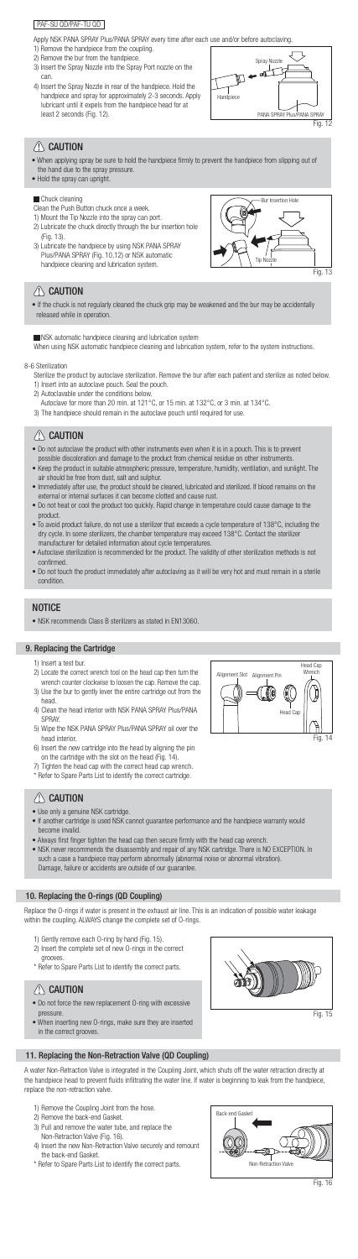

Fig. 14





# $\left\langle \right\vert$  Caution





# $\triangle$  CAUTION

Apply NSK PANA SPRAY Plus/PANA SPRAY every time after each use and/or before autoclaving.

- 1) Remove the handpiece from the coupling.
- 2) Remove the bur from the handpiece.
- 3) Insert the Spray Nozzle into the Spray Port nozzle on the can.
- 4) Insert the Spray Nozzle in rear of the handpiece. Hold the handpiece and spray for approximately 2-3 seconds. Apply lubricant until it expels from the handpiece head for at least 2 seconds (Fig. 12).

## PAF-SU QD/PAF-TU QD

- When applying spray be sure to hold the handpiece firmly to prevent the handpiece from slipping out of the hand due to the spray pressure.
- Hold the spray can upright.

### **Chuck cleaning**

When using NSK automatic handpiece cleaning and lubrication system, refer to the system instructions.

### 8-6 Sterilization

Sterilize the product by autoclave sterilization. Remove the bur after each patient and sterilize as noted below.

- 1) Insert into an autoclave pouch. Seal the pouch.
- 2) Autoclavable under the conditions below.
- Autoclave for more than 20 min. at 121°C, or 15 min. at 132°C, or 3 min. at 134°C.
- 3) The handpiece should remain in the autoclave pouch until required for use.

# $\sqrt{N}$  CAUTION

• NSK recommends Class B sterilizers as stated in EN13060.

- 1) Insert a test bur.
- 2) Locate the correct wrench tool on the head cap then turn the wrench counter clockwise to loosen the cap. Remove the cap.
- 3) Use the bur to gently lever the entire cartridge out from the head.
- 4) Clean the head interior with NSK PANA SPRAY Plus/PANA SPRAY.
- 5) Wipe the NSK PANA SPRAY Plus/PANA SPRAY oil over the head interior.
- 6) Insert the new cartridge into the head by aligning the pin on the cartridge with the slot on the head (Fig. 14).
	- Tighten the head cap with the correct head
- Do not autoclave the product with other instruments even when it is in a pouch. This is to prevent possible discoloration and damage to the product from chemical residue on other instruments.
- Keep the product in suitable atmospheric pressure, temperature, humidity, ventilation, and sunlight. The air should be free from dust, salt and sulphur.
- Immediately after use, the product should be cleaned, lubricated and sterilized. If blood remains on the external or internal surfaces it can become clotted and cause rust.
- Do not heat or cool the product too quickly. Rapid change in temperature could cause damage to the product.
- To avoid product failure, do not use a sterilizer that exceeds a cycle temperature of 138°C, including the dry cycle. In some sterilizers, the chamber temperature may exceed 138°C. Contact the sterilizer manufacturer for detailed information about cycle temperatures.
- Autoclave sterilization is recommended for the product. The validity of other sterilization methods is not confirmed.
- Do not touch the product immediately after autoclaving as it will be very hot and must remain in a sterile condition.

## **NOTICE**

- Use only a genuine NSK cartridge.
- If another cartridge is used NSK cannot guarantee performance and the handpiece warranty would become invalid.
- Always first finger tighten the head cap then secure firmly with the head cap wrench.
- NSK never recommends the disassembly and repair of any NSK cartridge. There is NO EXCEPTION. In such a case a handpiece may perform abnormally (abnormal noise or abnormal vibration). Damage, failure or accidents are outside of our guarantee.

Clean the Push Button chuck once a week.

1) Mount the Tip Nozzle into the spray can port.

- 2) Lubricate the chuck directly through the bur insertion hole (Fig. 13).
- 3) Lubricate the handpiece by using NSK PANA SPRAY Plus/PANA SPRAY (Fig. 10,12) or NSK automatic handpiece cleaning and lubrication system.

• If the chuck is not regularly cleaned the chuck grip may be weakened and the bur may be accidentally released while in operation.

**NSK automatic handpiece cleaning and lubrication system** 

## 9. Replacing the Cartridge

\* Refer to Spare Parts List to identify the correct cartridge.

# $\triangle$  CAUTION

## 10. Replacing the O-rings (QD Coupling)

Replace the O-rings if water is present in the exhaust air line. This is an indication of possible water leakage within the coupling. ALWAYS change the complete set of O-rings.

- 1) Gently remove each O-ring by hand (Fig. 15).
- 2) Insert the complete set of new O-rings in the correct grooves.
- \* Refer to Spare Parts List to identify the correct parts.

# $\langle \rangle$  Caution

# 11. Replacing the Non-Retraction Valve (QD Coupling)

A water Non-Retraction Valve is integrated in the Coupling Joint, which shuts off the water retraction directly at the handpiece head to prevent fluids infiltrating the water line. If water is beginning to leak from the handpiece, replace the non-retraction valve.

- 1) Remove the Coupling Joint from the hose.
- 2) Remove the back-end Gasket.
- 3) Pull and remove the water tube, and replace the Non-Retraction Valve (Fig. 16).
- 4) Insert the new Non-Retraction Valve securely and remount the back-end Gasket.
- \* Refer to Spare Parts List to identify the correct parts.
- Do not force the new replacement O-ring with excessive pressure.
- When inserting new O-rings, make sure they are inserted in the correct grooves.